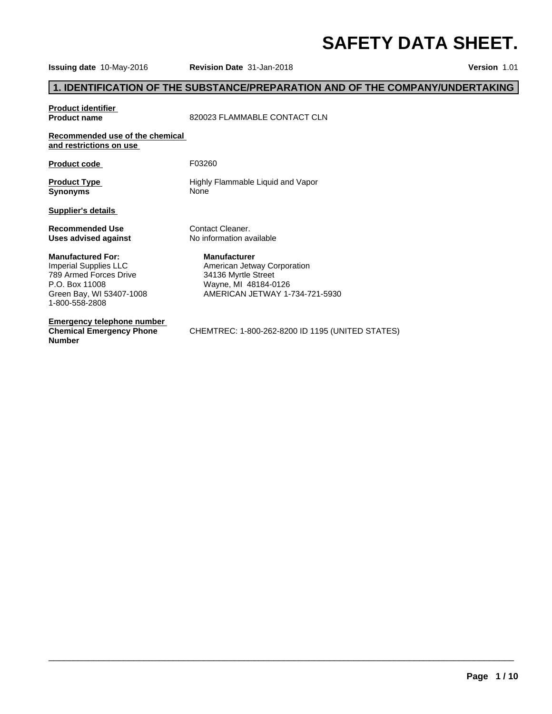**Issuing date** 10-May-2016 **Revision Date** 31-Jan-2018 **Version** 1.01

## **1. IDENTIFICATION OF THE SUBSTANCE/PREPARATION AND OF THE COMPANY/UNDERTAKING**

# **Product identifier<br>Product name**

**Product name** 820023 FLAMMABLE CONTACT CLN

#### **Recommended use of the chemical and restrictions on use**

| <b>Product code</b> | F03260 |  |
|---------------------|--------|--|
|---------------------|--------|--|

Synonyms None

**Product Type Highly Flammable Liquid and Vapor** 

**Supplier's details** 

**Uses advised against** 

#### **Manufactured For:**

Imperial Supplies LLC 789 Armed Forces Drive P.O. Box 11008 Green Bay, WI 53407-1008 1-800-558-2808

**Emergency telephone number Chemical Emergency Phone Number**

**Recommended Use** Contact Cleaner.<br> **Uses advised against** No information available

#### **Manufacturer**

American Jetway Corporation 34136 Myrtle Street Wayne, MI 48184-0126 AMERICAN JETWAY 1-734-721-5930

CHEMTREC: 1-800-262-8200 ID 1195 (UNITED STATES)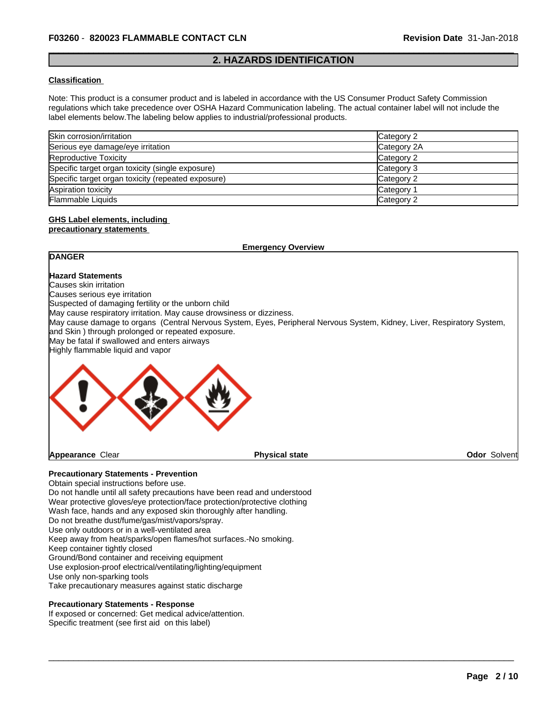#### **2. HAZARDS IDENTIFICATION**

#### **Classification**

Note: This product is a consumer product and is labeled in accordance with the US Consumer Product Safety Commission regulations which take precedence over OSHA Hazard Communication labeling. The actual container label will not include the label elements below.The labeling below applies to industrial/professional products.

| Skin corrosion/irritation                          | Category 2  |
|----------------------------------------------------|-------------|
| Serious eye damage/eye irritation                  | Category 2A |
| Reproductive Toxicity                              | Category 2  |
| Specific target organ toxicity (single exposure)   | Category 3  |
| Specific target organ toxicity (repeated exposure) | Category 2  |
| Aspiration toxicity                                | Category 1  |
| <b>Flammable Liquids</b>                           | Category 2  |

#### **GHS Label elements, including precautionary statements**

**Emergency Overview Precautionary Statements - Prevention** Obtain special instructions before use. **DANGER Hazard Statements** Causes skin irritation Causes serious eye irritation Suspected of damaging fertility or the unborn child May cause respiratory irritation. May cause drowsiness or dizziness. May cause damage to organs (Central Nervous System, Eyes, Peripheral Nervous System, Kidney, Liver, Respiratory System, and Skin ) through prolonged or repeated exposure. May be fatal if swallowed and enters airways Highly flammable liquid and vapor **Appearance** Clear **Physical state Odor Solvent** 

 $\overline{\phantom{a}}$  ,  $\overline{\phantom{a}}$  ,  $\overline{\phantom{a}}$  ,  $\overline{\phantom{a}}$  ,  $\overline{\phantom{a}}$  ,  $\overline{\phantom{a}}$  ,  $\overline{\phantom{a}}$  ,  $\overline{\phantom{a}}$  ,  $\overline{\phantom{a}}$  ,  $\overline{\phantom{a}}$  ,  $\overline{\phantom{a}}$  ,  $\overline{\phantom{a}}$  ,  $\overline{\phantom{a}}$  ,  $\overline{\phantom{a}}$  ,  $\overline{\phantom{a}}$  ,  $\overline{\phantom{a}}$ 

Do not handle until all safety precautions have been read and understood Wear protective gloves/eye protection/face protection/protective clothing Wash face, hands and any exposed skin thoroughly after handling. Do not breathe dust/fume/gas/mist/vapors/spray. Use only outdoors or in a well-ventilated area Keep away from heat/sparks/open flames/hot surfaces.-No smoking. Keep container tightly closed Ground/Bond container and receiving equipment Use explosion-proof electrical/ventilating/lighting/equipment Use only non-sparking tools Take precautionary measures against static discharge

#### **Precautionary Statements - Response**

If exposed or concerned: Get medical advice/attention. Specific treatment (see first aid on this label)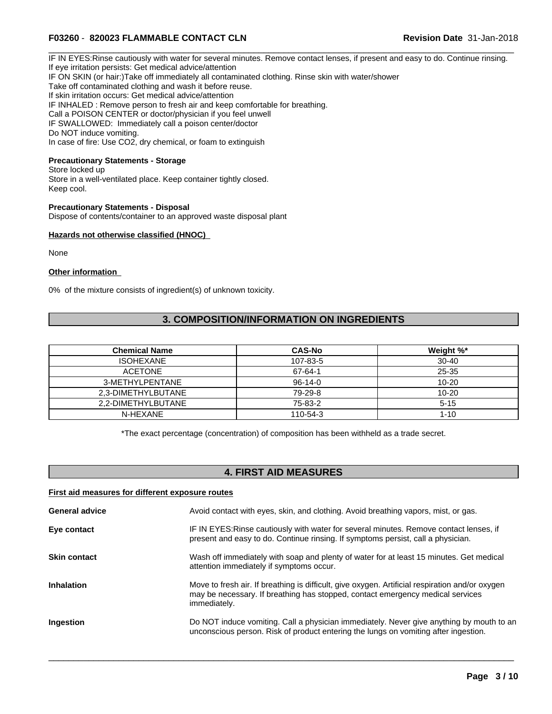IF IN EYES:Rinse cautiously with water for several minutes. Remove contact lenses, if present and easy to do. Continue rinsing. If eye irritation persists: Get medical advice/attention IF ON SKIN (or hair:)Take off immediately all contaminated clothing. Rinse skin with water/shower Take off contaminated clothing and wash it before reuse. If skin irritation occurs: Get medical advice/attention IF INHALED : Remove person to fresh air and keep comfortable for breathing. Call a POISON CENTER or doctor/physician if you feel unwell IF SWALLOWED: Immediately call a poison center/doctor Do NOT induce vomiting. In case of fire: Use CO2, dry chemical, or foam to extinguish

## **Precautionary Statements - Storage**

Store locked up Store in a well-ventilated place. Keep container tightly closed. Keep cool.

#### **Precautionary Statements - Disposal**

Dispose of contents/container to an approved waste disposal plant

#### **Hazards not otherwise classified (HNOC)**

None

#### **Other information**

0% of the mixture consists of ingredient(s) of unknown toxicity.

## **3. COMPOSITION/INFORMATION ON INGREDIENTS**

| <b>Chemical Name</b> | <b>CAS-No</b> | Weight %* |
|----------------------|---------------|-----------|
| <b>ISOHEXANE</b>     | 107-83-5      | $30 - 40$ |
| <b>ACETONE</b>       | 67-64-1       | 25-35     |
| 3-METHYLPENTANE      | $96-14-0$     | $10 - 20$ |
| 2.3-DIMETHYLBUTANE   | 79-29-8       | $10 - 20$ |
| 2.2-DIMETHYLBUTANE   | 75-83-2       | $5 - 15$  |
| N-HEXANE             | 110-54-3      | $1 - 10$  |

\*The exact percentage (concentration) of composition has been withheld as a trade secret.

## **4. FIRST AID MEASURES**

#### **First aid measures for different exposure routes**

| Avoid contact with eyes, skin, and clothing. Avoid breathing vapors, mist, or gas.                                                                                                                |
|---------------------------------------------------------------------------------------------------------------------------------------------------------------------------------------------------|
| IF IN EYES: Rinse cautiously with water for several minutes. Remove contact lenses, if<br>present and easy to do. Continue rinsing. If symptoms persist, call a physician.                        |
| Wash off immediately with soap and plenty of water for at least 15 minutes. Get medical<br>attention immediately if symptoms occur.                                                               |
| Move to fresh air. If breathing is difficult, give oxygen. Artificial respiration and/or oxygen<br>may be necessary. If breathing has stopped, contact emergency medical services<br>immediately. |
| Do NOT induce vomiting. Call a physician immediately. Never give anything by mouth to an<br>unconscious person. Risk of product entering the lungs on vomiting after ingestion.                   |
|                                                                                                                                                                                                   |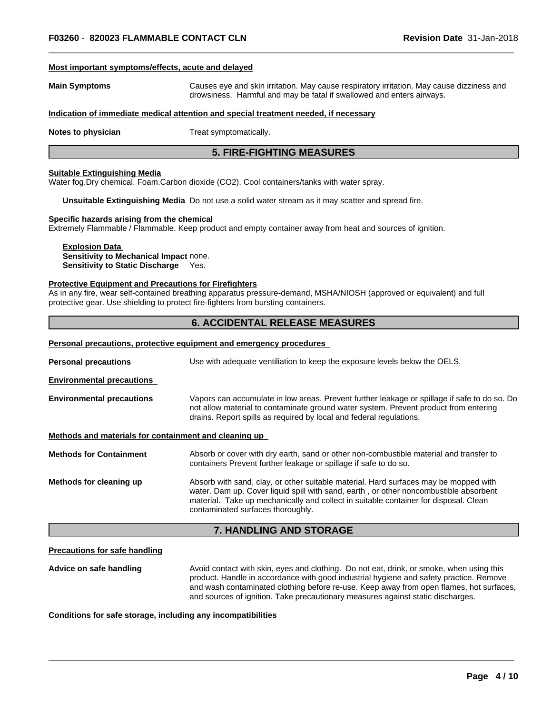#### **Most important symptoms/effects, acute and delayed**

**Main Symptoms** Causes eye and skin irritation. May cause respiratory irritation. May cause dizziness and drowsiness. Harmful and may be fatal if swallowed and enters airways.

#### **Indication of immediate medical attention and special treatment needed, if necessary**

**Notes to physician** Treat symptomatically.

## **5. FIRE-FIGHTING MEASURES**

#### **Suitable Extinguishing Media**

Water fog.Dry chemical. Foam.Carbon dioxide (CO2). Cool containers/tanks with water spray.

**Unsuitable Extinguishing Media** Do not use a solid water stream as it may scatter and spread fire.

#### **Specific hazards arising from the chemical**

Extremely Flammable / Flammable. Keep product and empty container away from heat and sources of ignition.

#### **Explosion Data Sensitivity to Mechanical Impact** none. **Sensitivity to Static Discharge** Yes.

#### **Protective Equipment and Precautions for Firefighters**

As in any fire, wear self-contained breathing apparatus pressure-demand, MSHA/NIOSH (approved or equivalent) and full protective gear. Use shielding to protect fire-fighters from bursting containers.

### **6. ACCIDENTAL RELEASE MEASURES**

|                                                       | Personal precautions, protective equipment and emergency procedures                                                                                                                                                                                                                                        |  |  |
|-------------------------------------------------------|------------------------------------------------------------------------------------------------------------------------------------------------------------------------------------------------------------------------------------------------------------------------------------------------------------|--|--|
| <b>Personal precautions</b>                           | Use with adequate ventiliation to keep the exposure levels below the OELS.                                                                                                                                                                                                                                 |  |  |
| <b>Environmental precautions</b>                      |                                                                                                                                                                                                                                                                                                            |  |  |
| <b>Environmental precautions</b>                      | Vapors can accumulate in low areas. Prevent further leakage or spillage if safe to do so. Do<br>not allow material to contaminate ground water system. Prevent product from entering<br>drains. Report spills as required by local and federal regulations.                                                |  |  |
| Methods and materials for containment and cleaning up |                                                                                                                                                                                                                                                                                                            |  |  |
| <b>Methods for Containment</b>                        | Absorb or cover with dry earth, sand or other non-combustible material and transfer to<br>containers Prevent further leakage or spillage if safe to do so.                                                                                                                                                 |  |  |
| Methods for cleaning up                               | Absorb with sand, clay, or other suitable material. Hard surfaces may be mopped with<br>water. Dam up. Cover liquid spill with sand, earth, or other noncombustible absorbent<br>material. Take up mechanically and collect in suitable container for disposal. Clean<br>contaminated surfaces thoroughly. |  |  |
|                                                       | <b>7. HANDLING AND STORAGE</b>                                                                                                                                                                                                                                                                             |  |  |

#### **Precautions for safe handling**

**Advice on safe handling** Avoid contact with skin, eyes and clothing. Do not eat, drink, or smoke, when using this product. Handle in accordance with good industrial hygiene and safety practice. Remove and wash contaminated clothing before re-use. Keep away from open flames, hot surfaces, and sources of ignition. Take precautionary measures against static discharges.

 $\overline{\phantom{a}}$  ,  $\overline{\phantom{a}}$  ,  $\overline{\phantom{a}}$  ,  $\overline{\phantom{a}}$  ,  $\overline{\phantom{a}}$  ,  $\overline{\phantom{a}}$  ,  $\overline{\phantom{a}}$  ,  $\overline{\phantom{a}}$  ,  $\overline{\phantom{a}}$  ,  $\overline{\phantom{a}}$  ,  $\overline{\phantom{a}}$  ,  $\overline{\phantom{a}}$  ,  $\overline{\phantom{a}}$  ,  $\overline{\phantom{a}}$  ,  $\overline{\phantom{a}}$  ,  $\overline{\phantom{a}}$ 

#### **Conditions for safe storage, including any incompatibilities**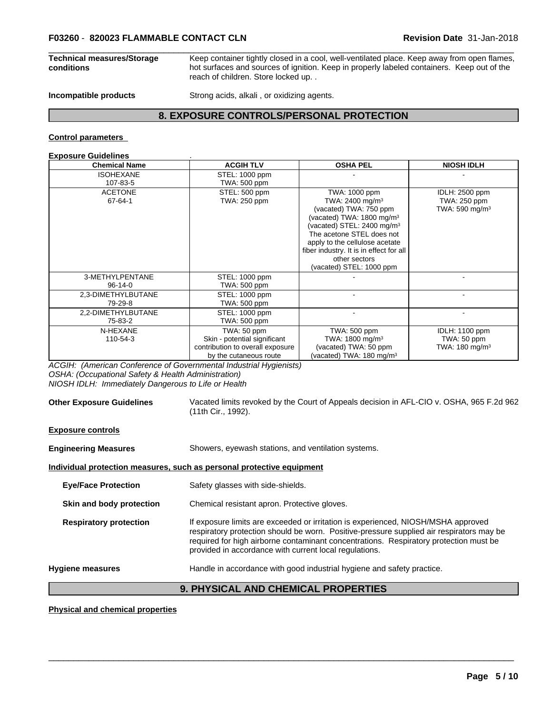#### **Technical measures/Storage conditions**

Keep container tightly closed in a cool, well-ventilated place. Keep away from open flames, hot surfaces and sources of ignition. Keep in properly labeled containers. Keep out of the reach of children. Store locked up. .

**Incompatible products** Strong acids, alkali, or oxidizing agents.

## **8. EXPOSURE CONTROLS/PERSONAL PROTECTION**

#### **Control parameters**

#### **Exposure Guidelines** .

| <b>Chemical Name</b>             | <b>ACGIH TLV</b>                                                                                          | <b>OSHA PEL</b>                                                                                                                                                                                                                                                                                                 | <b>NIOSH IDLH</b>                                            |
|----------------------------------|-----------------------------------------------------------------------------------------------------------|-----------------------------------------------------------------------------------------------------------------------------------------------------------------------------------------------------------------------------------------------------------------------------------------------------------------|--------------------------------------------------------------|
| <b>ISOHEXANE</b>                 | STEL: 1000 ppm                                                                                            |                                                                                                                                                                                                                                                                                                                 |                                                              |
| 107-83-5                         | TWA: 500 ppm                                                                                              |                                                                                                                                                                                                                                                                                                                 |                                                              |
| <b>ACETONE</b><br>67-64-1        | STEL: 500 ppm<br>TWA: 250 ppm                                                                             | TWA: 1000 ppm<br>TWA: 2400 mg/m <sup>3</sup><br>(vacated) TWA: 750 ppm<br>(vacated) TWA: $1800 \text{ mg/m}^3$<br>(vacated) STEL: 2400 mg/m <sup>3</sup><br>The acetone STEL does not<br>apply to the cellulose acetate<br>fiber industry. It is in effect for all<br>other sectors<br>(vacated) STEL: 1000 ppm | IDLH: 2500 ppm<br>TWA: 250 ppm<br>TWA: 590 mg/m <sup>3</sup> |
| 3-METHYLPENTANE<br>$96 - 14 - 0$ | STEL: 1000 ppm<br>TWA: 500 ppm                                                                            |                                                                                                                                                                                                                                                                                                                 |                                                              |
| 2,3-DIMETHYLBUTANE<br>79-29-8    | STEL: 1000 ppm<br>TWA: 500 ppm                                                                            |                                                                                                                                                                                                                                                                                                                 |                                                              |
| 2,2-DIMETHYLBUTANE<br>75-83-2    | STEL: 1000 ppm<br>TWA: 500 ppm                                                                            |                                                                                                                                                                                                                                                                                                                 |                                                              |
| N-HEXANE<br>110-54-3             | TWA: 50 ppm<br>Skin - potential significant<br>contribution to overall exposure<br>by the cutaneous route | TWA: 500 ppm<br>TWA: 1800 mg/m <sup>3</sup><br>(vacated) TWA: 50 ppm<br>(vacated) TWA: $180 \text{ mg/m}^3$                                                                                                                                                                                                     | IDLH: 1100 ppm<br>TWA: 50 ppm<br>TWA: 180 mg/m <sup>3</sup>  |

*ACGIH: (American Conference of Governmental Industrial Hygienists) OSHA: (Occupational Safety & Health Administration)*

*NIOSH IDLH: Immediately Dangerous to Life or Health*

#### **Other Exposure Guidelines** Vacated limits revoked by the Court of Appeals decision in AFL-CIO v. OSHA, 965 F.2d 962 (11th Cir., 1992).

| <b>Exposure controls</b>      |                                                                                                                                                                                                                                                                                                                                  |  |  |
|-------------------------------|----------------------------------------------------------------------------------------------------------------------------------------------------------------------------------------------------------------------------------------------------------------------------------------------------------------------------------|--|--|
| <b>Engineering Measures</b>   | Showers, eyewash stations, and ventilation systems.                                                                                                                                                                                                                                                                              |  |  |
|                               | Individual protection measures, such as personal protective equipment                                                                                                                                                                                                                                                            |  |  |
| <b>Eye/Face Protection</b>    | Safety glasses with side-shields.                                                                                                                                                                                                                                                                                                |  |  |
| Skin and body protection      | Chemical resistant apron. Protective gloves.                                                                                                                                                                                                                                                                                     |  |  |
| <b>Respiratory protection</b> | If exposure limits are exceeded or irritation is experienced, NIOSH/MSHA approved<br>respiratory protection should be worn. Positive-pressure supplied air respirators may be<br>required for high airborne contaminant concentrations. Respiratory protection must be<br>provided in accordance with current local regulations. |  |  |
| <b>Hygiene measures</b>       | Handle in accordance with good industrial hygiene and safety practice.                                                                                                                                                                                                                                                           |  |  |
|                               | A BUVAIAIL INB AUFIUAIL BRABFBTIFA                                                                                                                                                                                                                                                                                               |  |  |

## **9. PHYSICAL AND CHEMICAL PROPERTIES**

 $\overline{\phantom{a}}$  ,  $\overline{\phantom{a}}$  ,  $\overline{\phantom{a}}$  ,  $\overline{\phantom{a}}$  ,  $\overline{\phantom{a}}$  ,  $\overline{\phantom{a}}$  ,  $\overline{\phantom{a}}$  ,  $\overline{\phantom{a}}$  ,  $\overline{\phantom{a}}$  ,  $\overline{\phantom{a}}$  ,  $\overline{\phantom{a}}$  ,  $\overline{\phantom{a}}$  ,  $\overline{\phantom{a}}$  ,  $\overline{\phantom{a}}$  ,  $\overline{\phantom{a}}$  ,  $\overline{\phantom{a}}$ 

#### **Physical and chemical properties**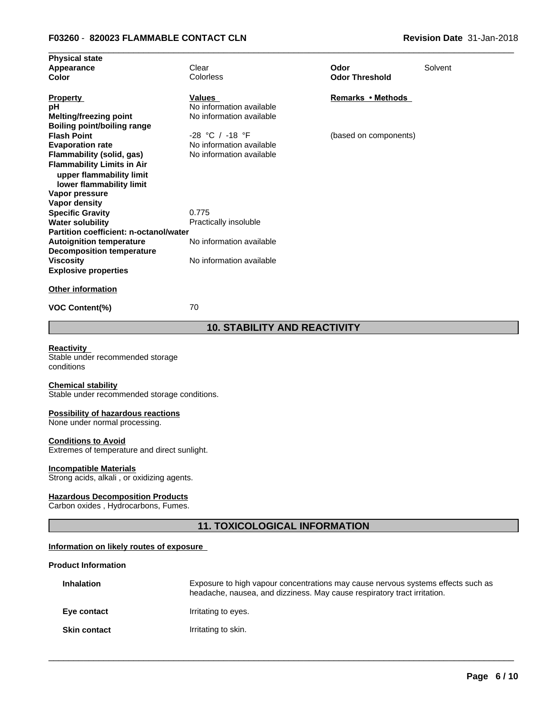|                          |                                                                                                                            | Solvent                       |
|--------------------------|----------------------------------------------------------------------------------------------------------------------------|-------------------------------|
|                          |                                                                                                                            |                               |
| Values                   | Remarks • Methods                                                                                                          |                               |
| No information available |                                                                                                                            |                               |
| No information available |                                                                                                                            |                               |
|                          |                                                                                                                            |                               |
| $-28$ °C / $-18$ °F      | (based on components)                                                                                                      |                               |
| No information available |                                                                                                                            |                               |
| No information available |                                                                                                                            |                               |
|                          |                                                                                                                            |                               |
|                          |                                                                                                                            |                               |
|                          |                                                                                                                            |                               |
|                          |                                                                                                                            |                               |
|                          |                                                                                                                            |                               |
|                          |                                                                                                                            |                               |
|                          |                                                                                                                            |                               |
|                          |                                                                                                                            |                               |
|                          |                                                                                                                            |                               |
|                          |                                                                                                                            |                               |
| No information available |                                                                                                                            |                               |
|                          |                                                                                                                            |                               |
|                          |                                                                                                                            |                               |
|                          | Clear<br>Colorless<br>0.775<br>Practically insoluble<br>Partition coefficient: n-octanol/water<br>No information available | Odor<br><b>Odor Threshold</b> |

**VOC Content(%)** 70

**Physical state**

## **10. STABILITY AND REACTIVITY**

## **Reactivity**

Stable under recommended storage conditions

#### **Chemical stability**

Stable under recommended storage conditions.

#### **Possibility of hazardous reactions**

None under normal processing.

#### **Conditions to Avoid**

Extremes of temperature and direct sunlight.

#### **Incompatible Materials**

Strong acids, alkali, or oxidizing agents.

#### **Hazardous Decomposition Products**

Carbon oxides , Hydrocarbons, Fumes.

## **11. TOXICOLOGICAL INFORMATION**

### **Information on likely routes of exposure**

## **Product Information**

| <b>Inhalation</b>   | Exposure to high vapour concentrations may cause nervous systems effects such as<br>headache, nausea, and dizziness. May cause respiratory tract irritation. |
|---------------------|--------------------------------------------------------------------------------------------------------------------------------------------------------------|
| Eye contact         | Irritating to eyes.                                                                                                                                          |
| <b>Skin contact</b> | Irritating to skin.                                                                                                                                          |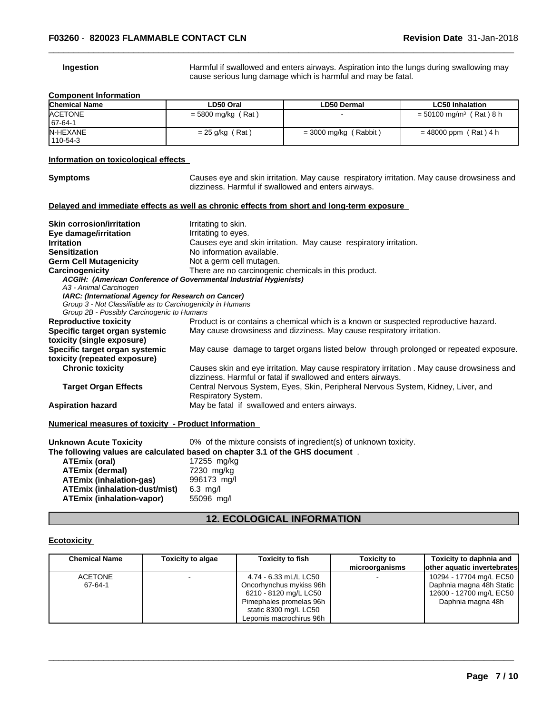**Ingestion Harmful if swallowed and enters airways. Aspiration into the lungs during swallowing may** cause serious lung damage which is harmful and may be fatal.

#### **Component Information**

| <b>Chemical Name</b> | LD50 Oral            | <b>LD50 Dermal</b>      | <b>LC50 Inhalation</b>                |
|----------------------|----------------------|-------------------------|---------------------------------------|
| <b>ACETONE</b>       | $=$ 5800 mg/kg (Rat) |                         | $= 50100$ mg/m <sup>3</sup> (Rat) 8 h |
| $167-64-1$           |                      |                         |                                       |
| <b>N-HEXANE</b>      | Rat<br>$= 25$ g/kg ( | $=$ 3000 mg/kg (Rabbit) | $= 48000$ ppm (Rat) 4 h               |
| 110-54-3             |                      |                         |                                       |

#### **Information on toxicological effects**

**Symptoms** Causes eye and skin irritation. May cause respiratory irritation. May cause drowsiness and dizziness. Harmful if swallowed and enters airways.

#### **Delayed and immediate effects as well as chronic effects from short and long-term exposure**

| <b>Skin corrosion/irritation</b>                                   | Irritating to skin.                                                                         |  |  |
|--------------------------------------------------------------------|---------------------------------------------------------------------------------------------|--|--|
| Eye damage/irritation                                              | Irritating to eyes.                                                                         |  |  |
| <b>Irritation</b>                                                  | Causes eye and skin irritation. May cause respiratory irritation.                           |  |  |
| <b>Sensitization</b>                                               | No information available.                                                                   |  |  |
| <b>Germ Cell Mutagenicity</b>                                      | Not a germ cell mutagen.                                                                    |  |  |
| Carcinogenicity                                                    | There are no carcinogenic chemicals in this product.                                        |  |  |
| ACGIH: (American Conference of Governmental Industrial Hygienists) |                                                                                             |  |  |
| A3 - Animal Carcinogen                                             |                                                                                             |  |  |
| IARC: (International Agency for Research on Cancer)                |                                                                                             |  |  |
| Group 3 - Not Classifiable as to Carcinogenicity in Humans         |                                                                                             |  |  |
| Group 2B - Possibly Carcinogenic to Humans                         |                                                                                             |  |  |
| <b>Reproductive toxicity</b>                                       | Product is or contains a chemical which is a known or suspected reproductive hazard.        |  |  |
| Specific target organ systemic                                     | May cause drowsiness and dizziness. May cause respiratory irritation.                       |  |  |
| toxicity (single exposure)                                         |                                                                                             |  |  |
| Specific target organ systemic                                     | May cause damage to target organs listed below through prolonged or repeated exposure.      |  |  |
| toxicity (repeated exposure)                                       |                                                                                             |  |  |
| <b>Chronic toxicity</b>                                            | Causes skin and eye irritation. May cause respiratory irritation . May cause drowsiness and |  |  |
|                                                                    | dizziness. Harmful or fatal if swallowed and enters airways.                                |  |  |
| <b>Target Organ Effects</b>                                        | Central Nervous System, Eyes, Skin, Peripheral Nervous System, Kidney, Liver, and           |  |  |
|                                                                    | Respiratory System.                                                                         |  |  |
| <b>Aspiration hazard</b>                                           | May be fatal if swallowed and enters airways.                                               |  |  |
| Numerical measures of toxicity - Product Information               |                                                                                             |  |  |

| Unknown Acute Toxicity               | 0% of the mixture consists of ingredient(s) of unknown toxicity.               |
|--------------------------------------|--------------------------------------------------------------------------------|
|                                      | The following values are calculated based on chapter 3.1 of the GHS document . |
| ATEmix (oral)                        | 17255 mg/kg                                                                    |
| <b>ATEmix (dermal)</b>               | 7230 mg/kg                                                                     |
| <b>ATEmix (inhalation-gas)</b>       | 996173 mg/l                                                                    |
| <b>ATEmix (inhalation-dust/mist)</b> | $6.3$ mg/l                                                                     |
| <b>ATEmix (inhalation-vapor)</b>     | 55096 mg/l                                                                     |
|                                      |                                                                                |

## **12. ECOLOGICAL INFORMATION**

#### **Ecotoxicity**

| <b>Chemical Name</b> | <b>Toxicity to algae</b> | <b>Toxicity to fish</b> | <b>Toxicity to</b><br>microorganisms | Toxicity to daphnia and<br>other aquatic invertebrates |
|----------------------|--------------------------|-------------------------|--------------------------------------|--------------------------------------------------------|
| <b>ACETONE</b>       |                          | 4.74 - 6.33 mL/L LC50   |                                      | 10294 - 17704 mg/L EC50                                |
| 67-64-1              |                          | Oncorhynchus mykiss 96h |                                      | Daphnia magna 48h Static                               |
|                      |                          | 6210 - 8120 mg/L LC50   |                                      | 12600 - 12700 mg/L EC50                                |
|                      |                          | Pimephales promelas 96h |                                      | Daphnia magna 48h                                      |
|                      |                          | static 8300 mg/L LC50   |                                      |                                                        |
|                      |                          | Lepomis macrochirus 96h |                                      |                                                        |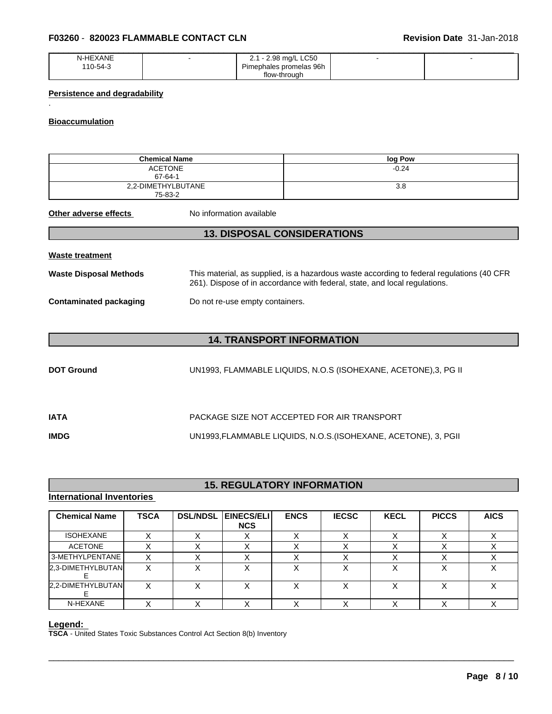| $1 - 11 - 11$<br>XANL<br>м-н.<br>-- | <b>LC50</b><br>98<br>ma/L '<br>--- |  |
|-------------------------------------|------------------------------------|--|
| 10-54-3                             | Pimephales promelas 96h            |  |
|                                     | flow-through                       |  |

## **Persistence and degradability**

#### **Bioaccumulation**

.

|                               | <b>Chemical Name</b>                                                                                                                                                    | log Pow                                                         |  |  |  |  |
|-------------------------------|-------------------------------------------------------------------------------------------------------------------------------------------------------------------------|-----------------------------------------------------------------|--|--|--|--|
|                               | <b>ACETONE</b><br>$67 - 64 - 1$                                                                                                                                         | $-0.24$                                                         |  |  |  |  |
|                               | 2,2-DIMETHYLBUTANE<br>3.8<br>75-83-2                                                                                                                                    |                                                                 |  |  |  |  |
| Other adverse effects         | No information available                                                                                                                                                |                                                                 |  |  |  |  |
|                               |                                                                                                                                                                         | <b>13. DISPOSAL CONSIDERATIONS</b>                              |  |  |  |  |
| Waste treatment               |                                                                                                                                                                         |                                                                 |  |  |  |  |
| Waste Disposal Methods        | This material, as supplied, is a hazardous waste according to federal regulations (40 CFR<br>261). Dispose of in accordance with federal, state, and local regulations. |                                                                 |  |  |  |  |
| <b>Contaminated packaging</b> | Do not re-use empty containers.                                                                                                                                         |                                                                 |  |  |  |  |
|                               |                                                                                                                                                                         |                                                                 |  |  |  |  |
|                               |                                                                                                                                                                         | <b>14. TRANSPORT INFORMATION</b>                                |  |  |  |  |
| <b>DOT Ground</b>             |                                                                                                                                                                         | UN1993, FLAMMABLE LIQUIDS, N.O.S (ISOHEXANE, ACETONE),3, PG II  |  |  |  |  |
| <b>IATA</b>                   |                                                                                                                                                                         | PACKAGE SIZE NOT ACCEPTED FOR AIR TRANSPORT                     |  |  |  |  |
| <b>IMDG</b>                   |                                                                                                                                                                         | UN1993, FLAMMABLE LIQUIDS, N.O.S. (ISOHEXANE, ACETONE), 3, PGII |  |  |  |  |
|                               |                                                                                                                                                                         |                                                                 |  |  |  |  |

## **15. REGULATORY INFORMATION**

## **International Inventories**

|                        | <b>TSCA</b> | <b>DSL/NDSL</b> | <b>EINECS/ELI</b><br><b>NCS</b> | <b>ENCS</b> | <b>IECSC</b> | <b>KECL</b> | <b>PICCS</b> | <b>AICS</b> |
|------------------------|-------------|-----------------|---------------------------------|-------------|--------------|-------------|--------------|-------------|
| <b>ISOHEXANE</b>       | X           | х               | Х                               | X           | х            | Х           | X            | X           |
| <b>ACETONE</b>         | X           |                 | X                               | X           | Χ            | X           | X            | X           |
| 3-METHYLPENTANE        | X           | х               | X                               | X           | Χ            | X           | X            | X           |
| 2,3-DIMETHYLBUTAN<br>Е | X           | х               | X                               | X           | X            | X           | X            | X           |
| 2,2-DIMETHYLBUTAN<br>E | X           | х               | X                               | X           | Χ            | X           | X            | X           |
| N-HEXANE               | X           | X               | X                               | X           | X            | х           | X            | X           |

#### **Legend:**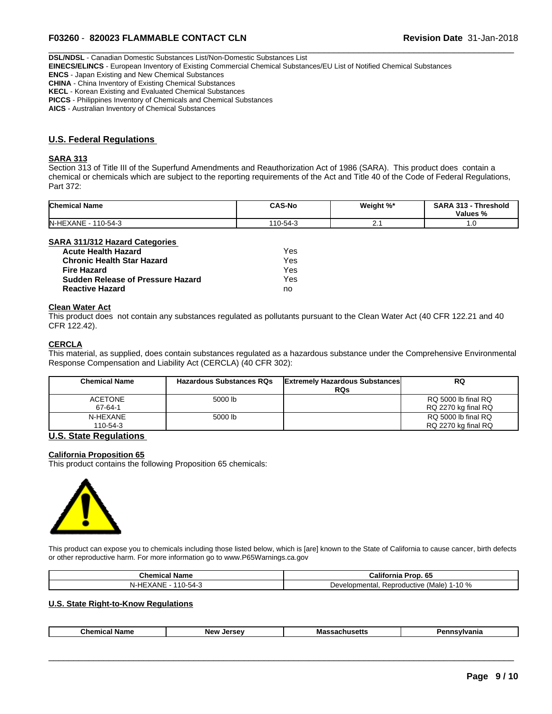**DSL/NDSL** - Canadian Domestic Substances List/Non-Domestic Substances List

**EINECS/ELINCS** - European Inventory of Existing Commercial Chemical Substances/EU List of Notified Chemical Substances

**ENCS** - Japan Existing and New Chemical Substances

**CHINA** - China Inventory of Existing Chemical Substances

**KECL** - Korean Existing and Evaluated Chemical Substances

**PICCS** - Philippines Inventory of Chemicals and Chemical Substances

**AICS** - Australian Inventory of Chemical Substances

## **U.S. Federal Regulations**

#### **SARA 313**

Section 313 of Title III of the Superfund Amendments and Reauthorization Act of 1986 (SARA). This product does contain a chemical or chemicals which are subject to the reporting requirements of the Act and Title 40 of the Code of Federal Regulations, Part 372:

| <b>Chemical Name</b>               | <b>CAS-No</b> | Weight %* | <b>SARA</b><br>242<br><b>∴Threshold</b><br>-313<br>Values % |
|------------------------------------|---------------|-----------|-------------------------------------------------------------|
| <b>N-HEXANE</b><br>110-54-3<br>. . | 110-54-3      |           | $\cdot \cdot \circ$                                         |

#### **SARA 311/312 Hazard Categories**

| <b>Acute Health Hazard</b>        | Yes |
|-----------------------------------|-----|
| <b>Chronic Health Star Hazard</b> | Yes |
| <b>Fire Hazard</b>                | Yes |
| Sudden Release of Pressure Hazard | Yes |
| <b>Reactive Hazard</b>            | no  |

#### **Clean Water Act**

This product does not contain any substances regulated as pollutants pursuant to the Clean Water Act (40 CFR 122.21 and 40 CFR 122.42).

#### **CERCLA**

This material, as supplied, does contain substances regulated as a hazardous substance under the Comprehensive Environmental Response Compensation and Liability Act (CERCLA) (40 CFR 302):

| <b>Chemical Name</b>      | <b>Hazardous Substances RQs</b> | <b>Extremely Hazardous Substances</b><br><b>RQs</b> | <b>RQ</b>                                  |
|---------------------------|---------------------------------|-----------------------------------------------------|--------------------------------------------|
| <b>ACETONE</b><br>67-64-1 | 5000 lb                         |                                                     | RQ 5000 lb final RQ<br>RQ 2270 kg final RQ |
| N-HEXANE<br>110-54-3      | 5000 lb                         |                                                     | RQ 5000 lb final RQ<br>RQ 2270 kg final RQ |

### **U.S. State Regulations**

#### **California Proposition 65**

This product contains the following Proposition 65 chemicals:



This product can expose you to chemicals including those listed below, which is [are] known to the State of California to cause cancer, birth defects or other reproductive harm. For more information go to www.P65Warnings.ca.gov

| Chemical Name                                                          | -65<br><br>California Prop.                                   |
|------------------------------------------------------------------------|---------------------------------------------------------------|
| $\sim$<br>.<br>$\cdot$ $-$<br><b>ANE</b><br>$-24-$<br>ПE.<br>$\lambda$ | $1 - 10%$<br>Reproductive '*<br>ിopmentai.<br>⊃evel<br>(Male) |

#### **U.S. State Right-to-Know Regulations**

| . .<br>--<br>Nnm<br><b>Nev</b><br>ъ.<br>nar<br>Mas<br>חי־<br>. |
|----------------------------------------------------------------|
|----------------------------------------------------------------|